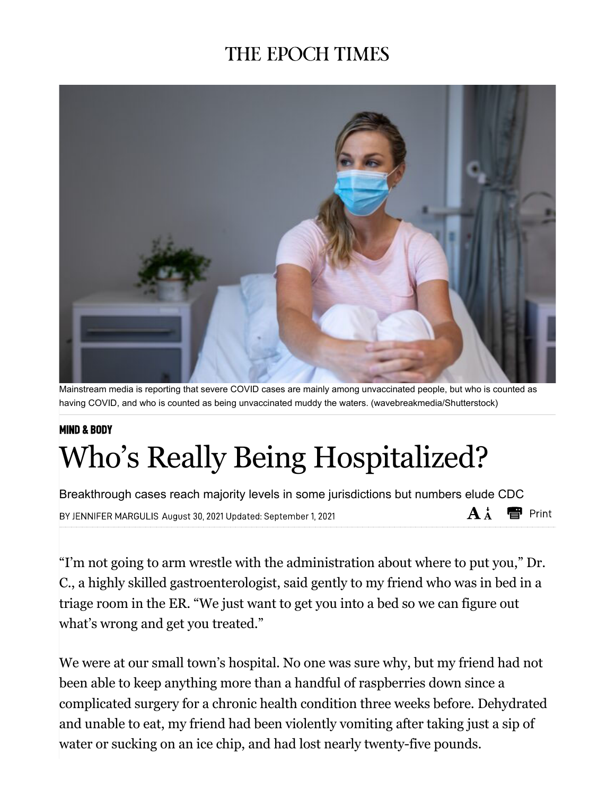## **THE EPOCH TIMES**



Mainstream media is reporting that severe COVID cases are mainly among unvaccinated people, but who is counted as having COVID, and who is counted as being unvaccinated muddy the waters. (wavebreakmedia/Shutterstock)

# **MIND & BODY** Who's Really Being Hospitalized?

Breakthrough cases reach majority levels in some jurisdictions but numbers elude CDC  $A \star \blacksquare$  Print BY JENNIFER MARGULIS August 30, 2021 Updated: September 1, 2021

"I'm not going to arm wrestle with the administration about where to put you," Dr. C., a highly skilled gastroenterologist, said gently to my friend who was in bed in a triage room in the ER. "We just want to get you into a bed so we can figure out what's wrong and get you treated."

We were at our small town's hospital. No one was sure why, but my friend had not been able to keep anything more than a handful of raspberries down since a complicated surgery for a chronic health condition three weeks before. Dehydrated and unable to eat, my friend had been violently vomiting after taking just a sip of water or sucking on an ice chip, and had lost nearly twenty-five pounds.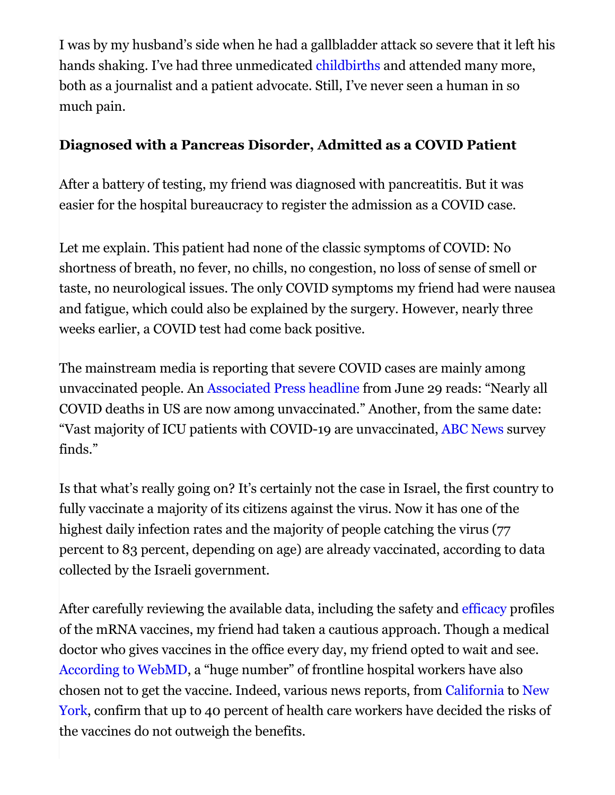I was by my husband's side when he had a gallbladder attack so severe that it left his hands shaking. I've had three unmedicated childbirths and attended many more, both as a journalist and a patient advocate. Still, I've never seen a human in so much pain.

#### **Diagnosed with a Pancreas Disorder, Admitted as a COVID Patient**

After a battery of testing, my friend was diagnosed with pancreatitis. But it was easier for the hospital bureaucracy to register the admission as a COVID case.

Let me explain. This patient had none of the classic symptoms of COVID: No shortness of breath, no fever, no chills, no congestion, no loss of sense of smell or taste, no neurological issues. The only COVID symptoms my friend had were nausea and fatigue, which could also be explained by the surgery. However, nearly three weeks earlier, a COVID test had come back positive.

The mainstream media is reporting that severe COVID cases are mainly among unvaccinated people. An Associated Press headline from June 29 reads: "Nearly all COVID deaths in US are now among unvaccinated." Another, from the same date: "Vast majority of ICU patients with COVID-19 are unvaccinated, ABC News survey finds."

Is that what's really going on? It's certainly not the case in Israel, the first country to fully vaccinate a majority of its citizens against the virus. Now it has one of the highest daily infection rates and the majority of people catching the virus (77) percent to 83 percent, depending on age) are already vaccinated, according to data collected by the Israeli government.

After carefully reviewing the available data, including the safety and efficacy profiles of the mRNA vaccines, my friend had taken a cautious approach. Though a medical doctor who gives vaccines in the office every day, my friend opted to wait and see. According to WebMD, a "huge number" of frontline hospital workers have also chosen not to get the vaccine. Indeed, various news reports, from California to New York, confirm that up to 40 percent of health care workers have decided the risks of the vaccines do not outweigh the benefits.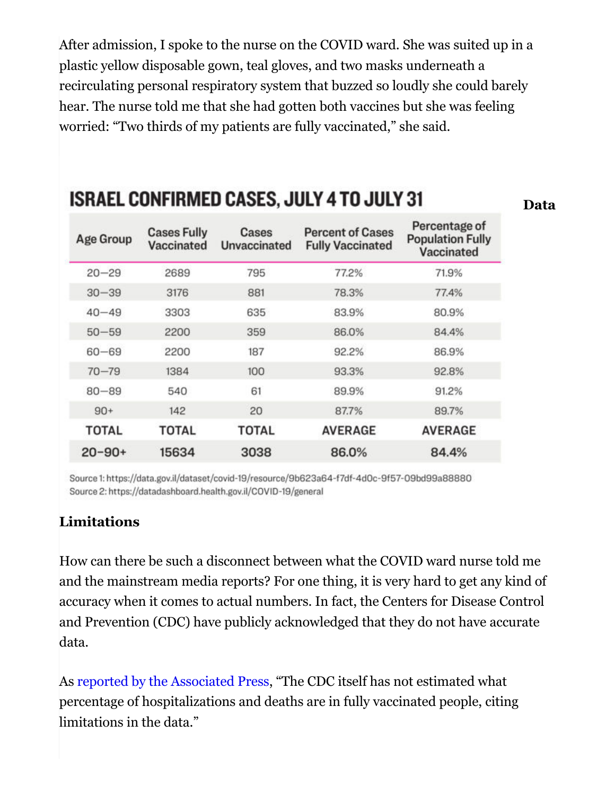After admission, I spoke to the nurse on the COVID ward. She was suited up in a plastic yellow disposable gown, teal gloves, and two masks underneath a recirculating personal respiratory system that buzzed so loudly she could barely hear. The nurse told me that she had gotten both vaccines but she was feeling worried: "Two thirds of my patients are fully vaccinated," she said.

| Age Group    | <b>Cases Fully</b><br>Vaccinated | Cases<br>Unvaccinated | <b>Percent of Cases</b><br><b>Fully Vaccinated</b> | Percentage of<br><b>Population Fully</b><br>Vaccinated |
|--------------|----------------------------------|-----------------------|----------------------------------------------------|--------------------------------------------------------|
| $20 - 29$    | 2689                             | 795                   | 77.2%                                              | 71.9%                                                  |
| $30 - 39$    | 3176                             | 881                   | 78.3%                                              | 77.4%                                                  |
| $40 - 49$    | 3303                             | 635                   | 83.9%                                              | 80.9%                                                  |
| $50 - 59$    | 2200                             | 359                   | 86.0%                                              | 84.4%                                                  |
| $60 - 69$    | 2200                             | 187                   | 92.2%                                              | 86.9%                                                  |
| $70 - 79$    | 1384                             | 100                   | 93.3%                                              | 92.8%                                                  |
| $80 - 89$    | 540                              | 61                    | 89.9%                                              | 91.2%                                                  |
| $90+$        | 142                              | 20                    | 87.7%                                              | 89.7%                                                  |
| <b>TOTAL</b> | TOTAL                            | TOTAL                 | <b>AVERAGE</b>                                     | <b>AVERAGE</b>                                         |
| $20 - 90 +$  | 15634                            | 3038                  | 86.0%                                              | 84.4%                                                  |

## **ISRAEL CONFIRMED CASES, JULY 4 TO JULY 31**

Source 1: https://data.gov.il/dataset/covid-19/resource/9b623a64-f7df-4d0c-9f57-09bd99a88880 Source 2: https://datadashboard.health.gov.il/COVID-19/general

#### **Limitations**

How can there be such a disconnect between what the COVID ward nurse told me and the mainstream media reports? For one thing, it is very hard to get any kind of accuracy when it comes to actual numbers. In fact, the Centers for Disease Control and Prevention (CDC) have publicly acknowledged that they do not have accurate data.

As reported by the Associated Press, "The CDC itself has not estimated what percentage of hospitalizations and deaths are in fully vaccinated people, citing limitations in the data."

#### **Data**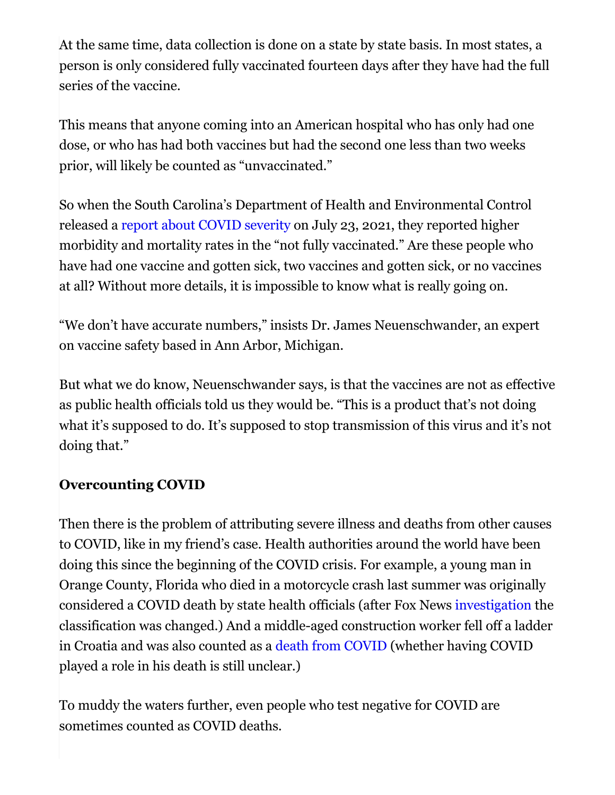At the same time, data collection is done on a state by state basis. In most states, a person is only considered fully vaccinated fourteen days after they have had the full series of the vaccine.

This means that anyone coming into an American hospital who has only had one dose, or who has had both vaccines but had the second one less than two weeks prior, will likely be counted as "unvaccinated."

So when the South Carolina's Department of Health and Environmental Control released a report about COVID severity on July 23, 2021, they reported higher morbidity and mortality rates in the "not fully vaccinated." Are these people who have had one vaccine and gotten sick, two vaccines and gotten sick, or no vaccines at all? Without more details, it is impossible to know what is really going on.

"We don't have accurate numbers," insists Dr. James Neuenschwander, an expert on vaccine safety based in Ann Arbor, Michigan.

But what we do know, Neuenschwander says, is that the vaccines are not as effective as public health officials told us they would be. "This is a product that's not doing what it's supposed to do. It's supposed to stop transmission of this virus and it's not doing that."

#### **Overcounting COVID**

Then there is the problem of attributing severe illness and deaths from other causes to COVID, like in my friend's case. Health authorities around the world have been doing this since the beginning of the COVID crisis. For example, a young man in Orange County, Florida who died in a motorcycle crash last summer was originally considered a COVID death by state health officials (after Fox News investigation the classification was changed.) And a middle-aged construction worker fell off a ladder in Croatia and was also counted as a death from COVID (whether having COVID played a role in his death is still unclear.)

To muddy the waters further, even people who test negative for COVID are sometimes counted as COVID deaths.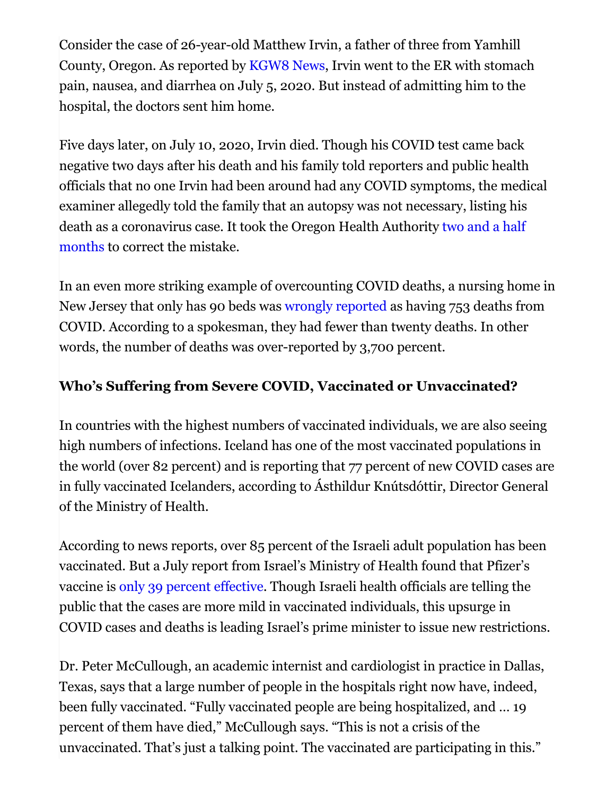Consider the case of 26-year-old Matthew Irvin, a father of three from Yamhill County, Oregon. As reported by KGW8 News, Irvin went to the ER with stomach pain, nausea, and diarrhea on July 5, 2020. But instead of admitting him to the hospital, the doctors sent him home.

Five days later, on July 10, 2020, Irvin died. Though his COVID test came back negative two days after his death and his family told reporters and public health officials that no one Irvin had been around had any COVID symptoms, the medical examiner allegedly told the family that an autopsy was not necessary, listing his death as a coronavirus case. It took the Oregon Health Authority two and a half months to correct the mistake.

In an even more striking example of overcounting COVID deaths, a nursing home in New Jersey that only has 90 beds was wrongly reported as having 753 deaths from COVID. According to a spokesman, they had fewer than twenty deaths. In other words, the number of deaths was over-reported by 3,700 percent.

### **Who's Suffering from Severe COVID, Vaccinated or Unvaccinated?**

In countries with the highest numbers of vaccinated individuals, we are also seeing high numbers of infections. Iceland has one of the most vaccinated populations in the world (over 82 percent) and is reporting that 77 percent of new COVID cases are in fully vaccinated Icelanders, according to Ásthildur Knútsdóttir, Director General of the Ministry of Health.

According to news reports, over 85 percent of the Israeli adult population has been vaccinated. But a July report from Israel's Ministry of Health found that Pfizer's vaccine is only 39 percent effective. Though Israeli health officials are telling the public that the cases are more mild in vaccinated individuals, this upsurge in COVID cases and deaths is leading Israel's prime minister to issue new restrictions.

Dr. Peter McCullough, an academic internist and cardiologist in practice in Dallas, Texas, says that a large number of people in the hospitals right now have, indeed, been fully vaccinated. "Fully vaccinated people are being hospitalized, and … 19 percent of them have died," McCullough says. "This is not a crisis of the unvaccinated. That's just a talking point. The vaccinated are participating in this."